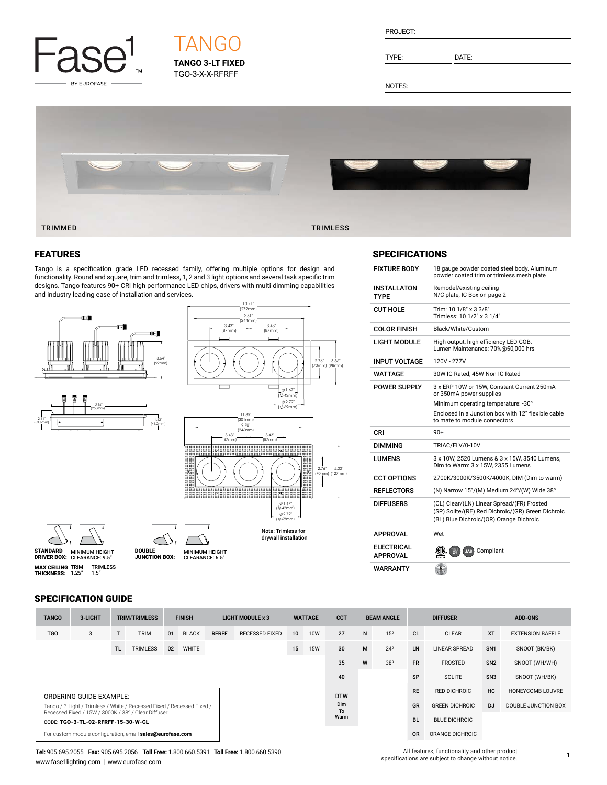

# **TANGO 3-LT FIXED** TGO-3-X-X-RFRFF TANG

| PROJECT: |  |
|----------|--|
|          |  |

TYPE: DATE:

NOTES:



#### FEATURES

Tango is a specification grade LED recessed family, offering multiple options for design and functionality. Round and square, trim and trimless, 1, 2 and 3 light options and several task specific trim designs. Tango features 90+ CRI high performance LED chips, drivers with multi dimming capabilities and industry leading ease of installation and services.



#### **SPECIFICATIONS**

| <b>FIXTURE BODY</b>           | 18 gauge powder coated steel body. Aluminum<br>powder coated trim or trimless mesh plate                                                   |
|-------------------------------|--------------------------------------------------------------------------------------------------------------------------------------------|
| INSTALLATON<br>TYPE           | Remodel/existing ceiling<br>N/C plate, IC Box on page 2                                                                                    |
| CUT HOLE                      | Trim: 10 1/8" x 3 3/8"<br>Trimless: 10 1/2" x 3 1/4"                                                                                       |
| <b>COLOR FINISH</b>           | Black/White/Custom                                                                                                                         |
| LIGHT MODULE                  | High output, high efficiency LED COB.<br>Lumen Maintenance: 70%@50,000 hrs                                                                 |
| INPUT VOLTAGE                 | 120V - 277V                                                                                                                                |
| WATTAGE                       | 30W IC Rated, 45W Non-IC Rated                                                                                                             |
| POWER SUPPLY                  | 3 x ERP 10W or 15W, Constant Current 250mA<br>or 350mA power supplies                                                                      |
|                               | Minimum operating temperature: -30°                                                                                                        |
|                               | Enclosed in a Junction box with 12" flexible cable<br>to mate to module connectors                                                         |
| CRI                           | $90+$                                                                                                                                      |
| DIMMING                       | TRIAC/ELV/0-10V                                                                                                                            |
| LUMENS                        | 3 x 10W, 2520 Lumens & 3 x 15W, 3540 Lumens,<br>Dim to Warm: 3 x 15W, 2355 Lumens                                                          |
| <b>CCT OPTIONS</b>            | 2700K/3000K/3500K/4000K, DIM (Dim to warm)                                                                                                 |
| <b>REFLECTORS</b>             | (N) Narrow 15°/(M) Medium 24°/(W) Wide 38°                                                                                                 |
| DIFFUSERS                     | (CL) Clear/(LN) Linear Spread/(FR) Frosted<br>(SP) Solite/(RE) Red Dichroic/(GR) Green Dichroic<br>(BL) Blue Dichroic/(OR) Orange Dichroic |
| APPROVAL                      | Wet                                                                                                                                        |
| ELECTRICAL<br><b>APPROVAL</b> | .GU<br>曞<br>JA8) Compliant                                                                                                                 |
| WARRANTY                      | $\sqrt{5}$                                                                                                                                 |

#### SPECIFICATION GUIDE

| <b>TANGO</b>                                                                                                                  | 3-LIGHT |     | <b>TRIM/TRIMLESS</b> |    | <b>FINISH</b> |              | LIGHT MODULE x 3      |            | <b>WATTAGE</b>    | <b>CCT</b> |           | <b>BEAM ANGLE</b>     |           | <b>DIFFUSER</b>      |                 | <b>ADD-ONS</b>          |
|-------------------------------------------------------------------------------------------------------------------------------|---------|-----|----------------------|----|---------------|--------------|-----------------------|------------|-------------------|------------|-----------|-----------------------|-----------|----------------------|-----------------|-------------------------|
| <b>TGO</b>                                                                                                                    | 3       |     | <b>TRIM</b>          | 01 | <b>BLACK</b>  | <b>RFRFF</b> | <b>RECESSED FIXED</b> | 10         | <b>10W</b>        | 27         | N         | 15 <sup>o</sup>       | <b>CL</b> | <b>CLEAR</b>         | <b>XT</b>       | <b>EXTENSION BAFFLE</b> |
|                                                                                                                               |         | TL. | <b>TRIMLESS</b>      | 02 | <b>WHITE</b>  |              |                       | 15         | <b>15W</b>        | 30         | M         | $24^{\circ}$          | <b>LN</b> | <b>LINEAR SPREAD</b> | SN <sub>1</sub> | SNOOT (BK/BK)           |
|                                                                                                                               |         |     |                      |    |               |              |                       |            |                   | 35         | W         | 38°                   | <b>FR</b> | <b>FROSTED</b>       | SN <sub>2</sub> | SNOOT (WH/WH)           |
|                                                                                                                               |         |     |                      |    |               |              |                       |            |                   | 40         |           |                       | <b>SP</b> | <b>SOLITE</b>        | SN <sub>3</sub> | SNOOT (WH/BK)           |
| <b>ORDERING GUIDE EXAMPLE:</b>                                                                                                |         |     |                      |    |               |              |                       | <b>DTW</b> | Dim<br>To<br>Warm |            | <b>RE</b> | <b>RED DICHROIC</b>   | HC        | HONEYCOMB LOUVRE     |                 |                         |
| Tango / 3-Light / Trimless / White / Recessed Fixed / Recessed Fixed /<br>Recessed Fixed / 15W / 3000K / 38° / Clear Diffuser |         |     |                      |    |               |              |                       |            |                   |            | GR        | <b>GREEN DICHROIC</b> | D.J       | DOUBLE JUNCTION BOX  |                 |                         |
| CODE: TGO-3-TL-02-RFRFF-15-30-W-CL                                                                                            |         |     |                      |    |               |              |                       |            |                   |            | <b>BL</b> | <b>BLUE DICHROIC</b>  |           |                      |                 |                         |
| For custom module configuration, email sales@eurofase.com                                                                     |         |     |                      |    |               |              |                       |            |                   |            | <b>OR</b> | ORANGE DICHROIC       |           |                      |                 |                         |

**Tel:** 905.695.2055 **Fax:** 905.695.2056 **Toll Free:** 1.800.660.5391 **Toll Free:** 1.800.660.5390 www.fase1lighting.com | www.eurofase.com

All features, functionality and other product specifications are subject to change without notice.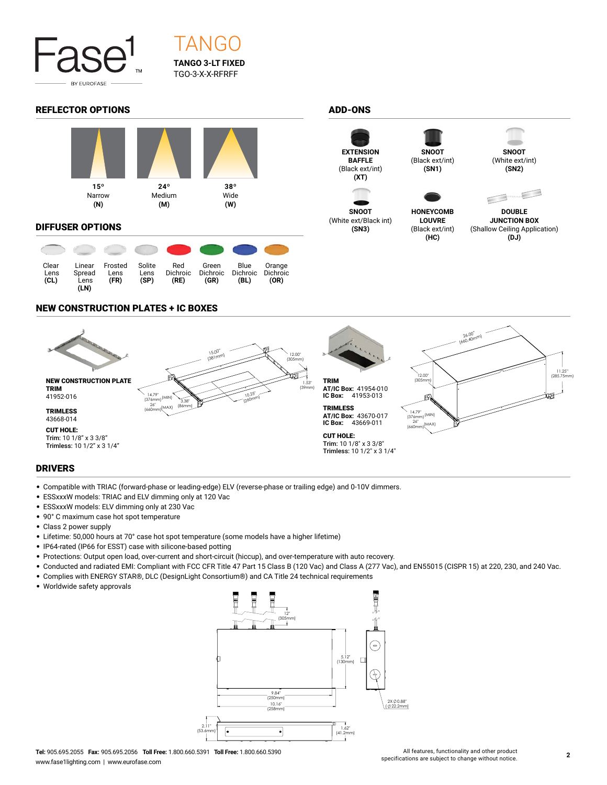

# **TANGO 3-LT FIXED** TGO-3-X-X-RFRFF TANG

### REFLECTOR OPTIONS ADD-ONS



#### DIFFUSER OPTIONS

| Clear<br>Lens<br>(CL) | Linear<br>Spread<br>Lens<br>(LN) | Frosted<br>Lens<br>(FR) | Solite<br>Lens<br>(SP) | Red<br>Dichroic<br>(RE) | Green<br><b>Dichroic</b><br>(GR) | Blue<br>Dichroic<br>(BL) | Orange<br><b>Dichroic</b><br>(OR) |
|-----------------------|----------------------------------|-------------------------|------------------------|-------------------------|----------------------------------|--------------------------|-----------------------------------|



**SNOOT** (White ext/Black int) **(SN3)**





**HONEYCOMB LOUVRE** (Black ext/int) **(HC)**





**DOUBLE JUNCTION BOX** (Shallow Ceiling Application) **(DJ)**

## NEW CONSTRUCTION PLATES + IC BOXES



## DRIVERS

- Compatible with TRIAC (forward-phase or leading-edge) ELV (reverse-phase or trailing edge) and 0-10V dimmers.
- ESSxxxW models: TRIAC and ELV dimming only at 120 Vac
- ESSxxxW models: ELV dimming only at 230 Vac
- 90° C maximum case hot spot temperature
- Class 2 power supply
- Lifetime: 50,000 hours at 70° case hot spot temperature (some models have a higher lifetime)
- IP64-rated (IP66 for ESST) case with silicone-based potting
- Protections: Output open load, over-current and short-circuit (hiccup), and over-temperature with auto recovery.
- Conducted and radiated EMI: Compliant with FCC CFR Title 47 Part 15 Class B (120 Vac) and Class A (277 Vac), and EN55015 (CISPR 15) at 220, 230, and 240 Vac.
- Complies with ENERGY STAR®, DLC (DesignLight Consortium®) and CA Title 24 technical requirements
- Worldwide safety approvals